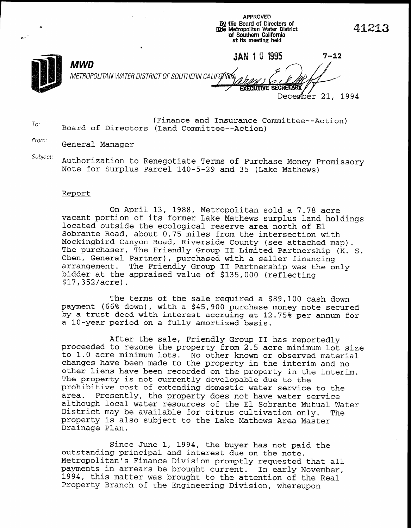APPROVED By the Board of Directors of **The Metropolitan Water District** of Southern California at its meeting held

December 21, 1994

To. (Finance and Insurance Committee--Action) Board of Directors (Land Committee--Action)

From: General Manager

Subject: Authorization to Renegotiate Terms of Purchase Money Promissory Note for Surplus Parcel 140-5-29 and 35 (Lake Mathews)

## Report

On April 13, 1988, Metropolitan sold a 7.78 acre vacant portion of its former Lake Mathews surplus land holdings located outside the ecological reserve area north of El Sobrante Road, about 0.75 miles from the intersection with Mockingbird Canyon Road, Riverside County (see attached map). The purchaser, The Friendly Group II Limited Partnership (K. S. Chen, General Partner), purchased with a seller financing chen, General Partner), purchased with a serier financing<br>Arrangement. The Friendly Group II Partnership was the 1 arrangement. The Friendly Group II Partnership was the only bidder at the appraised value of \$135,000 (reflecting \$17,352/acre).

The terms of the sale required  $\frac{1}{2}$   $\frac{1}{2}$   $\frac{1}{2}$   $\frac{1}{2}$   $\frac{1}{2}$   $\frac{1}{2}$   $\frac{1}{2}$ payment (66% down), with a sale required a \$89,100 cash down payment (66% down), with a \$45,900 purchase money note secured by a trust deed with interest accruing at 12.75% per annum for<br>a 10-year period on a fully amortized basis.

After the sale, Friendly Group II has reportedly proceed to real to real the sails. Friendly Group II has reportedly proceeded to rezone the property from 2.5 acre minimum lot size to 1.0 acre minimum lots. No other known or observed material changes have been made to the property in the interim and no other liens have been recorded on the property in the interim. The property is not currently developable due to the prohibitive cost of extending domestic water service to the area. Presently, the property does not have water service Presently, the property does not have water service although local water resources of the El Sobrante Mutual Water<br>District may be available for citrus cultivation only. The District may be available for citrus cultivation only. property is also subject to the Lake Mathews Area Master<br>Drainage Plan.

Since June 1, 1994, the buyer has not paid the Since June 1, 1994, the buyer has not pa outstanding principal and interest due on the note. Metropolitan's Finance Division promptly requested that all payments in arrears be brought current. In early November, 1994, this matter was brought to the attention of the Real Property Branch of the Engineering Division, whereupon



n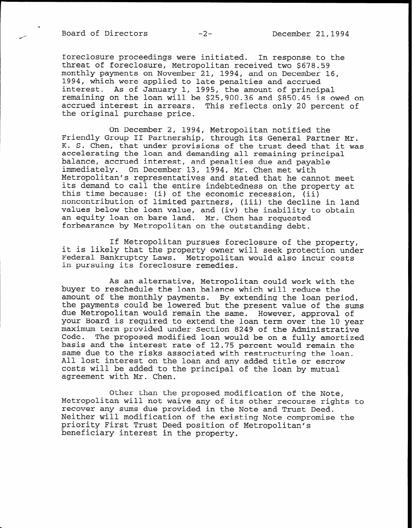foreclosure proceedings were initiated. In response to the threat of foreclosure, Metropolitan received two \$678.59 monthly payments on November 21, 1994, and on December 16, 1994, which were applied to late penalties and accrued interest. As of January 1, 1995, the amount of principal remaining on the loan will be \$25,900.36 and \$850.45 is owed on accrued interest in arrears. This reflects only 20 percent of the original purchase price.

On December 2, 1994, Metropolitan notified the Friendly Group II Partnership, through its General Partner Mr. K. S. Chen, that under provisions of the trust deed that it was accelerating the loan and demanding all remaining principal balance, accrued interest, and penalties due and payable immediately. On December 13, 1994, Mr. Chen met with Metropolitan's representatives and stated that he cannot meet its demand to call the entire indebtedness on the property at this time because: (i) of the economic recession, (ii) noncontribution of limited partners, (iii) the decline in land values below the loan value, and (iv) the inability to obtain an equity loan on bare land. Mr. Chen has requested forbearance by Metropolitan on the outstanding debt.

If Metropolitan pursues foreclosure of the property, it is likely that the property owner will seek protection under Federal Bankruptcy Laws. Metropolitan would also incur costs in pursuing its foreclosure remedies.

As an alternative, Metropolitan could work with the buyer to reschedule the loan balance which will reduce the amount of the monthly payments. By extending the loan period, the payments could be lowered but the present value of the sums due Metropolitan would remain the same. However, approval of your Board is required to extend the loan term over the 10 year maximum term provided under Section 8249 of the Administrative Code. The proposed modified loan would be on a fully amortized basis and the interest rate of 12.75 percent would remain the same due to the risks associated with restructuring the loan. All lost interest on the loan and any added title or escrow costs will be added to the principal of the loan by mutual agreement with Mr. Chen.

Other than the proposed modification of the Note, Metropolitan will not waive any of its other recourse rights to recover any sums due provided in the Note and Trust Deed. Neither will modification of the existing Note compromise the priority First Trust Deed position of Metropolitan's beneficiary interest in the property.